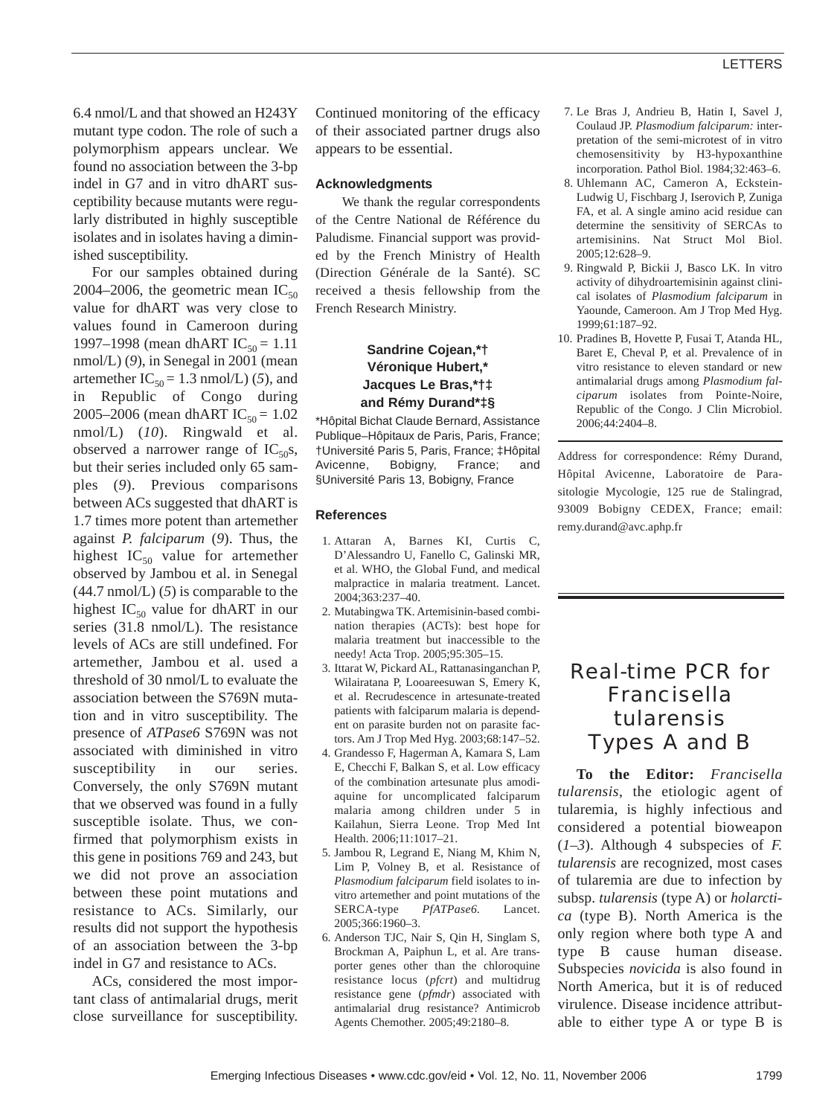6.4 nmol/L and that showed an H243Y mutant type codon. The role of such a polymorphism appears unclear. We found no association between the 3-bp indel in G7 and in vitro dhART susceptibility because mutants were regularly distributed in highly susceptible isolates and in isolates having a diminished susceptibility.

For our samples obtained during 2004–2006, the geometric mean  $IC_{50}$ value for dhART was very close to values found in Cameroon during 1997–1998 (mean dhART IC<sub>50</sub> = 1.11 nmol/L) (*9*), in Senegal in 2001 (mean artemether  $IC_{50} = 1.3$  nmol/L) (5), and in Republic of Congo during 2005–2006 (mean dhART IC<sub>50</sub> = 1.02 nmol/L) (*10*). Ringwald et al. observed a narrower range of  $IC_{50}$ s, but their series included only 65 samples (*9*). Previous comparisons between ACs suggested that dhART is 1.7 times more potent than artemether against *P. falciparum* (*9*). Thus, the highest  $IC_{50}$  value for artemether observed by Jambou et al. in Senegal (44.7 nmol/L) (*5*) is comparable to the highest  $IC_{50}$  value for dhART in our series (31.8 nmol/L). The resistance levels of ACs are still undefined. For artemether, Jambou et al. used a threshold of 30 nmol/L to evaluate the association between the S769N mutation and in vitro susceptibility. The presence of *ATPase6* S769N was not associated with diminished in vitro susceptibility in our series. Conversely, the only S769N mutant that we observed was found in a fully susceptible isolate. Thus, we confirmed that polymorphism exists in this gene in positions 769 and 243, but we did not prove an association between these point mutations and resistance to ACs. Similarly, our results did not support the hypothesis of an association between the 3-bp indel in G7 and resistance to ACs.

ACs, considered the most important class of antimalarial drugs, merit close surveillance for susceptibility. Continued monitoring of the efficacy of their associated partner drugs also appears to be essential.

## **Acknowledgments**

We thank the regular correspondents of the Centre National de Référence du Paludisme. Financial support was provided by the French Ministry of Health (Direction Générale de la Santé). SC received a thesis fellowship from the French Research Ministry.

## **Sandrine Cojean,\*† Véronique Hubert,\* Jacques Le Bras,\*†‡ and Rémy Durand\*‡§**

\*Hôpital Bichat Claude Bernard, Assistance Publique–Hôpitaux de Paris, Paris, France; †Université Paris 5, Paris, France; ‡Hôpital Avicenne, Bobigny, France; and §Université Paris 13, Bobigny, France

## **References**

- 1. Attaran A, Barnes KI, Curtis C, D'Alessandro U, Fanello C, Galinski MR, et al. WHO, the Global Fund, and medical malpractice in malaria treatment. Lancet. 2004;363:237–40.
- 2. Mutabingwa TK. Artemisinin-based combination therapies (ACTs): best hope for malaria treatment but inaccessible to the needy! Acta Trop. 2005;95:305–15.
- 3. Ittarat W, Pickard AL, Rattanasinganchan P, Wilairatana P, Looareesuwan S, Emery K, et al. Recrudescence in artesunate-treated patients with falciparum malaria is dependent on parasite burden not on parasite factors. Am J Trop Med Hyg. 2003;68:147–52.
- 4. Grandesso F, Hagerman A, Kamara S, Lam E, Checchi F, Balkan S, et al. Low efficacy of the combination artesunate plus amodiaquine for uncomplicated falciparum malaria among children under 5 in Kailahun, Sierra Leone. Trop Med Int Health. 2006;11:1017–21.
- 5. Jambou R, Legrand E, Niang M, Khim N, Lim P, Volney B, et al. Resistance of *Plasmodium falciparum* field isolates to invitro artemether and point mutations of the SERCA-type *PfATPase6.* Lancet. 2005;366:1960–3.
- 6. Anderson TJC, Nair S, Qin H, Singlam S, Brockman A, Paiphun L, et al. Are transporter genes other than the chloroquine resistance locus (*pfcrt*) and multidrug resistance gene (*pfmdr*) associated with antimalarial drug resistance? Antimicrob Agents Chemother. 2005;49:2180–8.
- 7. Le Bras J, Andrieu B, Hatin I, Savel J, Coulaud JP. *Plasmodium falciparum:* interpretation of the semi-microtest of in vitro chemosensitivity by H3-hypoxanthine incorporation. Pathol Biol. 1984;32:463–6.
- 8. Uhlemann AC, Cameron A, Eckstein-Ludwig U, Fischbarg J, Iserovich P, Zuniga FA, et al. A single amino acid residue can determine the sensitivity of SERCAs to artemisinins. Nat Struct Mol Biol. 2005;12:628–9.
- 9. Ringwald P, Bickii J, Basco LK. In vitro activity of dihydroartemisinin against clinical isolates of *Plasmodium falciparum* in Yaounde, Cameroon. Am J Trop Med Hyg. 1999;61:187–92.
- 10. Pradines B, Hovette P, Fusai T, Atanda HL, Baret E, Cheval P, et al. Prevalence of in vitro resistance to eleven standard or new antimalarial drugs among *Plasmodium falciparum* isolates from Pointe-Noire, Republic of the Congo. J Clin Microbiol. 2006;44:2404–8.

Address for correspondence: Rémy Durand, Hôpital Avicenne, Laboratoire de Parasitologie Mycologie, 125 rue de Stalingrad, 93009 Bobigny CEDEX, France; email: remy.durand@avc.aphp.fr

# Real-time PCR for *Francisella tularensis* Types A and B

**To the Editor:** *Francisella tularensis*, the etiologic agent of tularemia, is highly infectious and considered a potential bioweapon (*1*–*3*). Although 4 subspecies of *F. tularensis* are recognized, most cases of tularemia are due to infection by subsp. *tularensis* (type A) or *holarctica* (type B). North America is the only region where both type A and type B cause human disease. Subspecies *novicida* is also found in North America, but it is of reduced virulence. Disease incidence attributable to either type A or type B is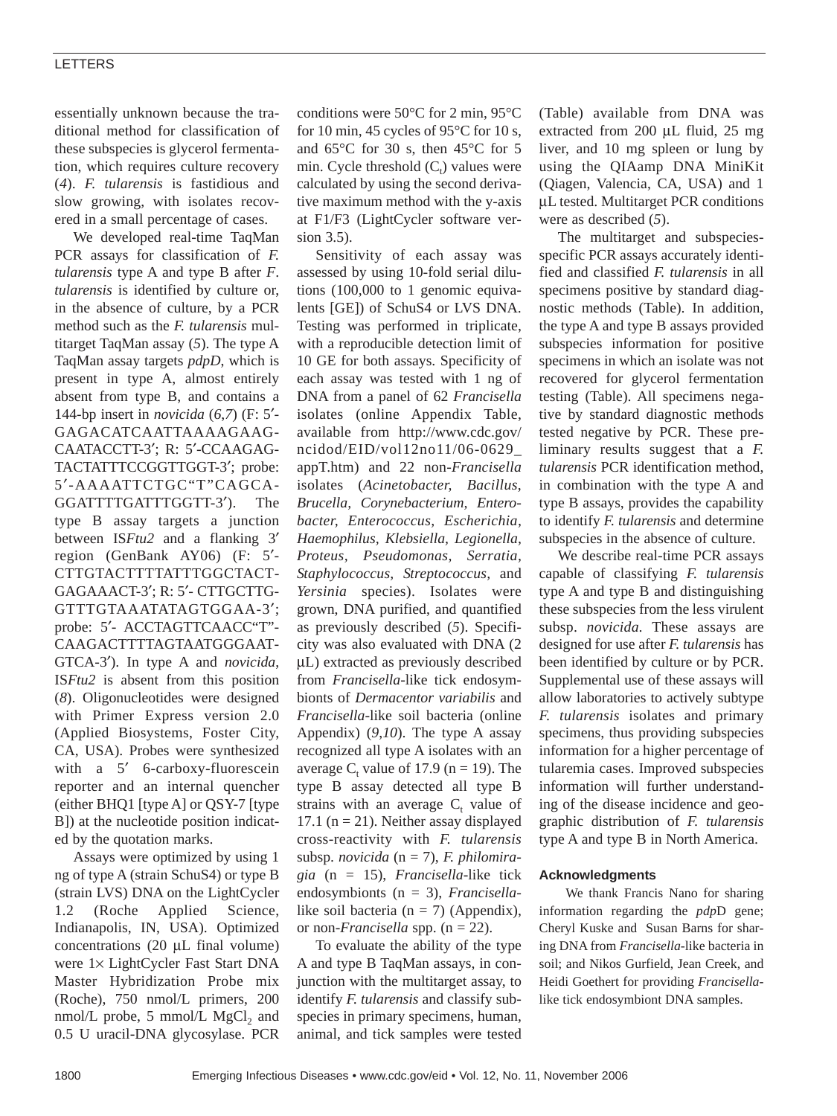## LETTERS

essentially unknown because the traditional method for classification of these subspecies is glycerol fermentation, which requires culture recovery (*4*). *F. tularensis* is fastidious and slow growing, with isolates recovered in a small percentage of cases.

We developed real-time TaqMan PCR assays for classification of *F. tularensis* type A and type B after *F*. *tularensis* is identified by culture or, in the absence of culture, by a PCR method such as the *F. tularensis* multitarget TaqMan assay (*5*). The type A TaqMan assay targets *pdpD*, which is present in type A, almost entirely absent from type B, and contains a 144-bp insert in *novicida* (*6*,*7*) (F: 5′- GAGACATCAATTAAAAGAAG-CAATACCTT-3′; R: 5′-CCAAGAG-TACTATTTCCGGTTGGT-3′; probe: 5′-AAAATTCTGC"T"CAGCA-GGATTTTGATTTGGTT-3′). The type B assay targets a junction between IS*Ftu2* and a flanking 3′ region (GenBank AY06) (F: 5′- CTTGTACTTTTATTTGGCTACT-GAGAAACT-3′; R: 5′- CTTGCTTG-GTTTGTAAATATAGTGGAA-3′; probe: 5′- ACCTAGTTCAACC"T"- CAAGACTTTTAGTAATGGGAAT-GTCA-3′). In type A and *novicida*, IS*Ftu2* is absent from this position (*8*). Oligonucleotides were designed with Primer Express version 2.0 (Applied Biosystems, Foster City, CA, USA). Probes were synthesized with a 5' 6-carboxy-fluorescein reporter and an internal quencher (either BHQ1 [type A] or QSY-7 [type B]) at the nucleotide position indicated by the quotation marks.

Assays were optimized by using 1 ng of type A (strain SchuS4) or type B (strain LVS) DNA on the LightCycler 1.2 (Roche Applied Science, Indianapolis, IN, USA). Optimized concentrations  $(20 \mu L)$  final volume) were 1× LightCycler Fast Start DNA Master Hybridization Probe mix (Roche), 750 nmol/L primers, 200 nmol/L probe,  $5 \text{ mmol/L MgCl}$ , and 0.5 U uracil-DNA glycosylase. PCR conditions were 50°C for 2 min, 95°C for 10 min, 45 cycles of 95°C for 10 s, and 65°C for 30 s, then 45°C for 5 min. Cycle threshold  $(C_t)$  values were calculated by using the second derivative maximum method with the y-axis at F1/F3 (LightCycler software version 3.5).

Sensitivity of each assay was assessed by using 10-fold serial dilutions (100,000 to 1 genomic equivalents [GE]) of SchuS4 or LVS DNA. Testing was performed in triplicate, with a reproducible detection limit of 10 GE for both assays. Specificity of each assay was tested with 1 ng of DNA from a panel of 62 *Francisella* isolates (online Appendix Table, available from http://www.cdc.gov/ ncidod/EID/vol12no11/06-0629\_ appT.htm) and 22 non-*Francisella* isolates (*Acinetobacter, Bacillus*, *Brucella, Corynebacterium, Enterobacter, Enterococcus, Escherichia, Haemophilus, Klebsiella, Legionella, Proteus, Pseudomonas, Serratia, Staphylococcus, Streptococcus,* and *Yersinia* species). Isolates were grown, DNA purified, and quantified as previously described (*5*). Specificity was also evaluated with DNA (2 µL) extracted as previously described from *Francisella*-like tick endosymbionts of *Dermacentor variabilis* and *Francisella*-like soil bacteria (online Appendix) (*9*,*10*). The type A assay recognized all type A isolates with an average  $C_t$  value of 17.9 (n = 19). The type B assay detected all type B strains with an average  $C_t$  value of 17.1 ( $n = 21$ ). Neither assay displayed cross-reactivity with *F. tularensis* subsp. *novicida* (n = 7), *F. philomiragia* (n = 15), *Francisella*-like tick endosymbionts (n = 3), *Francisella*like soil bacteria ( $n = 7$ ) (Appendix), or non-*Francisella* spp. (n = 22).

To evaluate the ability of the type A and type B TaqMan assays, in conjunction with the multitarget assay, to identify *F. tularensis* and classify subspecies in primary specimens, human, animal, and tick samples were tested (Table) available from DNA was extracted from 200 µL fluid, 25 mg liver, and 10 mg spleen or lung by using the QIAamp DNA MiniKit (Qiagen, Valencia, CA, USA) and 1 µL tested. Multitarget PCR conditions were as described (*5*).

The multitarget and subspeciesspecific PCR assays accurately identified and classified *F. tularensis* in all specimens positive by standard diagnostic methods (Table). In addition, the type A and type B assays provided subspecies information for positive specimens in which an isolate was not recovered for glycerol fermentation testing (Table). All specimens negative by standard diagnostic methods tested negative by PCR. These preliminary results suggest that a *F. tularensis* PCR identification method, in combination with the type A and type B assays, provides the capability to identify *F. tularensis* and determine subspecies in the absence of culture.

We describe real-time PCR assays capable of classifying *F. tularensis* type A and type B and distinguishing these subspecies from the less virulent subsp. *novicida.* These assays are designed for use after *F. tularensis* has been identified by culture or by PCR. Supplemental use of these assays will allow laboratories to actively subtype *F. tularensis* isolates and primary specimens, thus providing subspecies information for a higher percentage of tularemia cases. Improved subspecies information will further understanding of the disease incidence and geographic distribution of *F. tularensis* type A and type B in North America.

#### **Acknowledgments**

We thank Francis Nano for sharing information regarding the *pdp*D gene; Cheryl Kuske and Susan Barns for sharing DNA from *Francisella*-like bacteria in soil; and Nikos Gurfield, Jean Creek, and Heidi Goethert for providing *Francisella*like tick endosymbiont DNA samples.